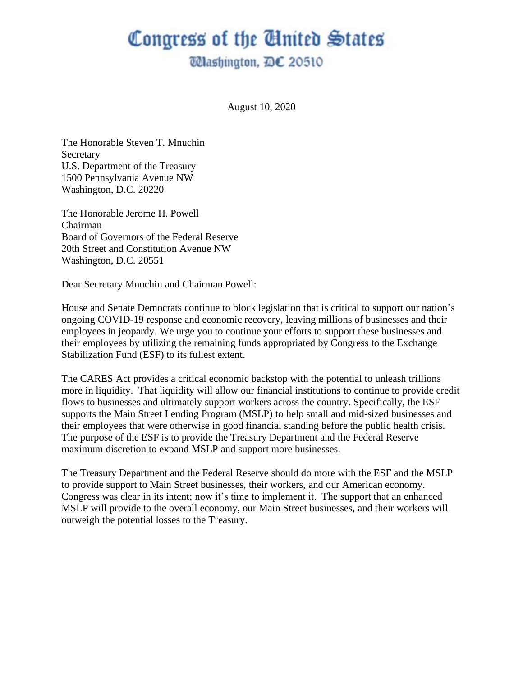## Congress of the Cinited States

**Wlashington, DC 20510** 

August 10, 2020

The Honorable Steven T. Mnuchin Secretary U.S. Department of the Treasury 1500 Pennsylvania Avenue NW Washington, D.C. 20220

The Honorable Jerome H. Powell Chairman Board of Governors of the Federal Reserve 20th Street and Constitution Avenue NW Washington, D.C. 20551

Dear Secretary Mnuchin and Chairman Powell:

House and Senate Democrats continue to block legislation that is critical to support our nation's ongoing COVID-19 response and economic recovery, leaving millions of businesses and their employees in jeopardy. We urge you to continue your efforts to support these businesses and their employees by utilizing the remaining funds appropriated by Congress to the Exchange Stabilization Fund (ESF) to its fullest extent.

The CARES Act provides a critical economic backstop with the potential to unleash trillions more in liquidity. That liquidity will allow our financial institutions to continue to provide credit flows to businesses and ultimately support workers across the country. Specifically, the ESF supports the Main Street Lending Program (MSLP) to help small and mid-sized businesses and their employees that were otherwise in good financial standing before the public health crisis. The purpose of the ESF is to provide the Treasury Department and the Federal Reserve maximum discretion to expand MSLP and support more businesses.

The Treasury Department and the Federal Reserve should do more with the ESF and the MSLP to provide support to Main Street businesses, their workers, and our American economy. Congress was clear in its intent; now it's time to implement it. The support that an enhanced MSLP will provide to the overall economy, our Main Street businesses, and their workers will outweigh the potential losses to the Treasury.